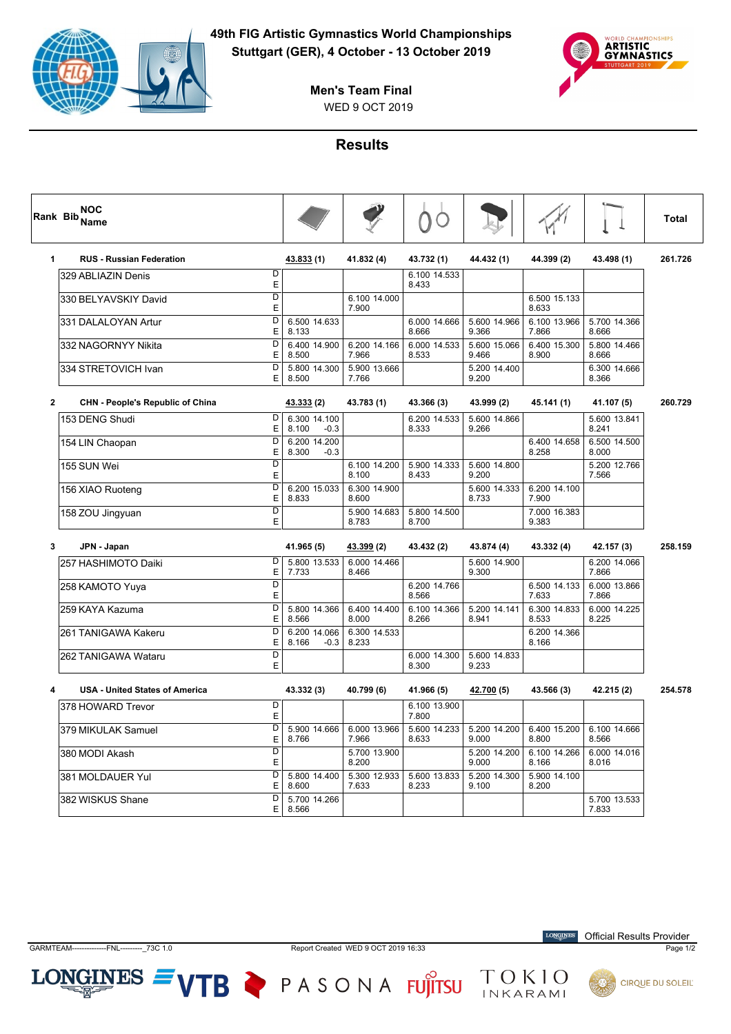



WED 9 OCT 2019 **Men's Team Final**

## **Results**

| <b>NOC</b><br>Rank Bib Name     |                       | D                     |                       |                       |                       |                       | <b>Total</b> |
|---------------------------------|-----------------------|-----------------------|-----------------------|-----------------------|-----------------------|-----------------------|--------------|
| <b>RUS - Russian Federation</b> | 43.833 (1)            | 41.832 (4)            | 43.732 (1)            | 44.432 (1)            | 44.399 (2)            | 43.498 (1)            | 261.726      |
| D<br>329 ABLIAZIN Denis<br>E    |                       |                       | 6.100 14.533<br>8.433 |                       |                       |                       |              |
| D<br>330 BELYAVSKIY David       |                       | 6.100 14.000<br>7.900 |                       |                       | 6.500 15.133<br>8.633 |                       |              |
| D<br>331 DALALOYAN Artur<br>Ε   | 6.500 14.633<br>8.133 |                       | 6.000 14.666<br>8.666 | 5.600 14.966<br>9.366 | 6.100 13.966<br>7.866 | 5.700 14.366<br>8.666 |              |
| D<br>332 NAGORNYY Nikita<br>Е   | 6.400 14.900<br>8.500 | 6.200 14.166<br>7.966 | 6.000 14.533<br>8.533 | 5.600 15.066<br>9.466 | 6.400 15.300<br>8.900 | 5.800 14.466<br>8.666 |              |
| D<br> 334 STRETOVICH Ivan<br>Е  | 5.800 14.300<br>8.500 | 5.900 13.666<br>7.766 |                       | 5.200 14.400<br>9.200 |                       | 6.300 14.666<br>8.366 |              |

| $\overline{2}$<br><b>CHN - People's Republic of China</b> |        | 43.333 (2)                      | 43.783 (1)            | 43.366 (3)            | 43.999 (2)            | 45.141 (1)            | 41.107 (5)            | 260.729 |
|-----------------------------------------------------------|--------|---------------------------------|-----------------------|-----------------------|-----------------------|-----------------------|-----------------------|---------|
| 153 DENG Shudi                                            | D<br>Ε | 6.300 14.100<br>8.100<br>$-0.3$ |                       | 6.200 14.533<br>8.333 | 5.600 14.866<br>9.266 |                       | 5.600 13.841<br>8.241 |         |
| 154 LIN Chaopan                                           | D<br>Е | 6.200 14.200<br>$-0.3$<br>8.300 |                       |                       |                       | 6.400 14.658<br>8.258 | 6.500 14.500<br>8.000 |         |
| 155 SUN Wei                                               | D<br>Е |                                 | 6.100 14.200<br>8.100 | 5.900 14.333<br>8.433 | 5.600 14.800<br>9.200 |                       | 5.200 12.766<br>7.566 |         |
| 156 XIAO Ruoteng                                          | D<br>Е | 6.200 15.033<br>8.833           | 6.300 14.900<br>8.600 |                       | 5.600 14.333<br>8.733 | 6.200 14.100<br>7.900 |                       |         |
| 158 ZOU Jingyuan                                          | D<br>E |                                 | 5.900 14.683<br>8.783 | 5.800 14.500<br>8.700 |                       | 7.000 16.383<br>9.383 |                       |         |

| 3<br>JPN - Japan     |        | 41.965 (5)                      | 43.399 (2)            | 43.432 (2)            | 43.874 (4)            | 43.332 (4)            | 42.157 (3)            | 258.159 |
|----------------------|--------|---------------------------------|-----------------------|-----------------------|-----------------------|-----------------------|-----------------------|---------|
| 1257 HASHIMOTO Daiki | D<br>Е | 5.800 13.533<br>7.733           | 6.000 14.466<br>8.466 |                       | 5.600 14.900<br>9.300 |                       | 6.200 14.066<br>7.866 |         |
| 258 KAMOTO Yuya      | D<br>E |                                 |                       | 6.200 14.766<br>8.566 |                       | 6.500 14.133<br>7.633 | 6.000 13.866<br>7.866 |         |
| 1259 KAYA Kazuma     | D<br>E | 5.800 14.366<br>8.566           | 6.400 14.400<br>8.000 | 6.100 14.366<br>8.266 | 5.200 14.141<br>8.941 | 6.300 14.833<br>8.533 | 6.000 14.225<br>8.225 |         |
| 261 TANIGAWA Kakeru  | D<br>E | 6.200 14.066<br>8.166<br>$-0.3$ | 6.300 14.533<br>8.233 |                       |                       | 6.200 14.366<br>8.166 |                       |         |
| 262 TANIGAWA Wataru  | D<br>E |                                 |                       | 6.000 14.300<br>8.300 | 5.600 14.833<br>9.233 |                       |                       |         |

| <b>USA - United States of America</b> |    | 43.332 (3)            | 40.799 (6)            | 41.966 (5)            | 42.700 (5)            | 43.566 (3)            | 42.215 (2)            | 254.578 |
|---------------------------------------|----|-----------------------|-----------------------|-----------------------|-----------------------|-----------------------|-----------------------|---------|
| 378 HOWARD Trevor                     | Е  |                       |                       | 6.100 13.900<br>7.800 |                       |                       |                       |         |
| 379 MIKULAK Samuel                    | E. | 5.900 14.666<br>8.766 | 6.000 13.966<br>7.966 | 5.600 14.233<br>8.633 | 5.200 14.200<br>9.000 | 6.400 15.200<br>8.800 | 6.100 14.666<br>8.566 |         |
| l380 MODI Akash                       | E  |                       | 5.700 13.900<br>8.200 |                       | 5.200 14.200<br>9.000 | 6.100 14.266<br>8.166 | 6.000 14.016<br>8.016 |         |
| 381 MOLDAUER Yul                      | E. | 5.800 14.400<br>8.600 | 5.300 12.933<br>7.633 | 5.600 13.833<br>8.233 | 5.200 14.300<br>9.100 | 5.900 14.100<br>8.200 |                       |         |
| l382 WISKUS Shane                     | E. | 5.700 14.266<br>8.566 |                       |                       |                       |                       | 5.700 13.533<br>7.833 |         |

 $LONGINES =$ 

GARMTEAM--------------FNL---------\_73C 1.0 Report Created WED 9 OCT 2019 16:33 Page 1/2

**LONGINES** Official Results Provider